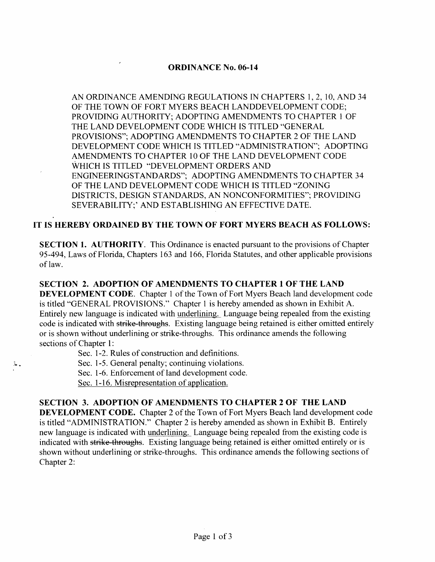# ORDINANCE No. 06-14

AN ORDINANCE AMENDING REGULATIONS IN CHAPTERS 1,2,10, AND 34 OF THE TOWN OF FORT MYERS BEACH LANDDEVELOPMENT CODE; PROVIDING AUTHORITY; ADOPTING AMENDMENTS TO CHAPTER 1 OF THE LAND DEVELOPMENT CODE WHICH IS TITLED "GENERAL PROVISIONS"; ADOPTING AMENDMENTS TO CHAPTER 2 OF THE LAND DEVELOPMENT CODE WHICH IS TITLED '"ADMINISTRATION"; ADOPTING AMENDMENTS TO CHAPTER 10 OF THE LAND DEVELOPMENT CODE WHICH IS TITLED "DEVELOPMENT ORDERS AND ENGINEERINGSTANDARDS"; ADOPTING AMENDMENTS TO CHAPTER 34 OF THE LAND DEVELOPMENT CODE WHICH IS TITLED "ZONING DISTRICTS, DESIGN STANDARDS, AN NONCONFORMITIES"; PROVIDING SEVERABILITY;' AND ESTABLISHING AN EFFECTIVE DATE.

# IT IS HEREBY ORDAINED BY THE TOWN OF FORT MYERS BEACH AS FOLLOWS:

SECTION 1. AUTHORITY. This Ordinance is enacted pursuant to the provisions of Chapter 95-494, Laws of Florida, Chapters 163 and 166, Florida Statutes, and other applicable provisions of law.

SECTION 2. ADOPTION OF AMENDMENTS TO CHAPTER 1 OF THE LAND DEVELOPMENT CODE. Chapter 1 of the Town of Fort Myers Beach land development code is titled "GENERAL PROVISIONS." Chapter 1 is hereby amended as shown in Exhibit A. Entirely new language is indicated with underlining. Language being repealed from the existing code is indicated with strike-throughs. Existing language being retained is either omitted entirely or is shown without underlining or strike-throughs. This ordinance amends the following sections of Chapter 1:

Sec. 1-2. Rules of construction and definitions.

Sec. 1-5. General penalty; continuing violations.

Sec. 1-6. Enforcement of land development code.

Sec. 1-16. Misrepresentation of application.

 $\lambda$ 

# SECTION 3. ADOPTION OF AMENDMENTS TO CHAPTER 2 OF THE LAND

DEVELOPMENT CODE. Chapter 2 of the Town of Fort Myers Beach land development code is titled "ADMINISTRATION." Chapter 2 is hereby amended as shown in Exhibit B. Entirely new language is indicated with underlining. Language being repealed from the existing code is indicated with strike throughs. Existing language being retained is either omitted entirely or is shown without underlining or strike-throughs. This ordinance amends the following sections of Chapter 2: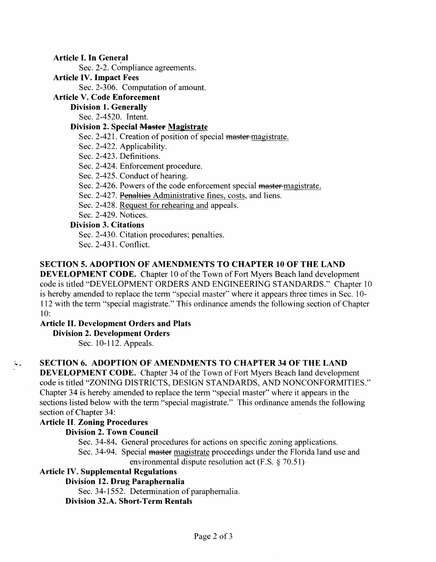Article I. In General ,

Sec. 2-2. Compliance agreements.

### Article IV. Impact Fees

Sec. 2-306. Computation of amount.

# Article V. Code Enforcement

# Division 1. Generally

Sec. 2-4520. Intent.

# Division 2. Special Master Magistrate

Sec. 2-421. Creation of position of special master-magistrate.

- Sec. 2-422. Applicability.
- Sec. 2-423. Definitions.
- Sec. 2-424. Enforcement procedure.
- Sec. 2-425. Conduct of hearing.
- Sec. 2-426. Powers of the code enforcement special master-magistrate.
- Sec. 2-427. Penalties Administrative fines, costs, and liens.
- Sec. 2-428. Request for rehearing and appeals.

Sec. 2-429. Notices.

# Division 3. Citations

Sec. 2-430. Citation procedures; penalties.

Sec. 2-431. Conflict.

# SECTION 5. ADOPTION OF AMENDMENTS TO CHAPTER 10 OF THE LAND

DEVELOPMENT CODE. Chapter 10 of the Town of Fort Myers Beach land development code is titled "'DEVELOPMENT ORDERS AND ENGINEERING STANDARDS." Chapter 10 is hereby amended to replace the term "special master" where it appears three times in Sec. 10- 112 with the term "special magistrate." This ordinance amends the following section of Chapter 10:

# Article II. Development Orders and Plats

Division 2. Development Orders

Sec. 10-112. Appeals.

# SECTION 6. ADOPTION OF AMENDMENTS TO CHAPTER 34 OF THE LAND

DEVELOPMENT CODE. Chapter 34 of the Town of Fort Myers Beach land development code is titled "ZONING DISTRICTS, DESIGN STANDARDS, AND NONCONFORMITIES." Chapter 34 is hereby amended to replace the term "special master" where it appears in the sections listed below with the term "special magistrate." This ordinance amends the following section of Chapter 34:

# Article II. Zoning Procedures

 $\mathcal{L}_{\mathcal{A}}$ 

# Division 2. Town Council

Sec. 34-84. General procedures for actions on specific zoning applications.

Sec. 34-94. Special master magistrate proceedings under the Florida land use and environmental dispute resolution act  $(F.S. \S 70.51)$ 

# Article IV. Supplemental Regulations

# Division 12. Drug Paraphernalia

Sec. 34-1552. Determination of paraphernalia.

# Division 32.A. Short-Term Rentals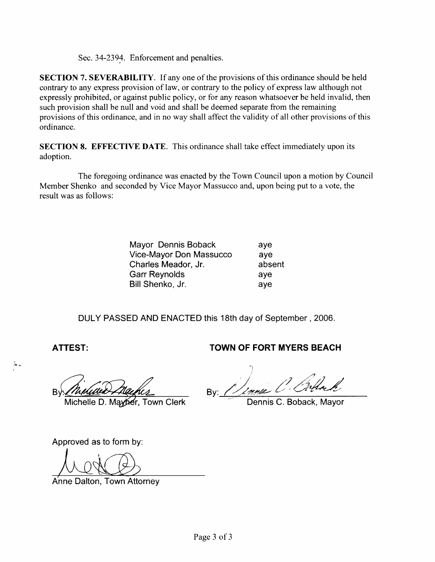Sec. 34-2394. Enforcement and penalties.

SECTION 7. SEVERABILITY. If any one of the provisions of this ordinance should be held contrary to any express provision of law, or contrary to the policy of express law although not expressly prohibited, or against public policy, or for any reason whatsoever be held invalid, then such provision shall be null and void and shall be deemed separate from the remaining provisions of this ordinance, and in no way shall affect the validity of all other provisions of this ordinance.

SECTION 8. EFFECTIVE DATE. This ordinance shall take effect immediately upon its adoption.

The foregoing ordinance was enacted by the Town Council upon a motion by Council Member Shenko and seconded by Vice Mayor Massucco and, upon being put to a vote, the result was as follows:

| Mayor Dennis Boback     | ave    |
|-------------------------|--------|
| Vice-Mayor Don Massucco | aye    |
| Charles Meador, Jr.     | absent |
| <b>Garr Reynolds</b>    | ave    |
| Bill Shenko, Jr.        | aye    |

DULY PASSED AND ENACTED this 18th day of September, 2006.

 $\ddot{r}$  .

 $B_1$ 

Michelle D. Mayber, Town Clerk

Approved as to form by:

*kltiC@)* 

A'nne Dalton, Town Attorney

# **ATTEST: TOWN OF FORT MYERS BEACH**

'I i  $\sqrt{2}$ By: *Denne C. Orthoch* 

Dennis C. Boback, Mayor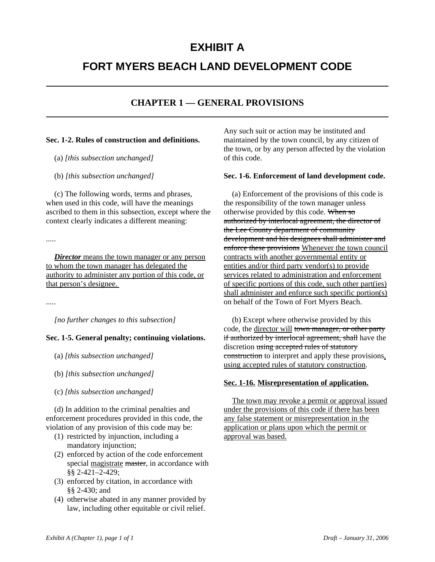# **EXHIBIT A**

# **FORT MYERS BEACH LAND DEVELOPMENT CODE**

# **CHAPTER 1 — GENERAL PROVISIONS**

#### **Sec. 1-2. Rules of construction and definitions.**

- (a) *[this subsection unchanged]*
- (b) *[this subsection unchanged]*

(c) The following words, terms and phrases, when used in this code, will have the meanings ascribed to them in this subsection, except where the context clearly indicates a different meaning:

.....

*Director* means the town manager or any person to whom the town manager has delegated the authority to administer any portion of this code, or that person's designee.

.....

*[no further changes to this subsection]*

# **Sec. 1-5. General penalty; continuing violations.**

- (a) *[this subsection unchanged]*
- (b) *[this subsection unchanged]*
- (c) *[this subsection unchanged]*

(d) In addition to the criminal penalties and enforcement procedures provided in this code, the violation of any provision of this code may be:

- (1) restricted by injunction, including a mandatory injunction;
- (2) enforced by action of the code enforcement special magistrate master, in accordance with §§ 2-421–2-429;
- (3) enforced by citation, in accordance with §§ 2-430; and
- (4) otherwise abated in any manner provided by law, including other equitable or civil relief.

Any such suit or action may be instituted and maintained by the town council, by any citizen of the town, or by any person affected by the violation of this code.

#### **Sec. 1-6. Enforcement of land development code.**

(a) Enforcement of the provisions of this code is the responsibility of the town manager unless otherwise provided by this code. When so authorized by interlocal agreement, the director of the Lee County department of community development and his designees shall administer and enforce these provisions Whenever the town council contracts with another governmental entity or entities and/or third party vendor(s) to provide services related to administration and enforcement of specific portions of this code, such other part(ies) shall administer and enforce such specific portion(s) on behalf of the Town of Fort Myers Beach.

(b) Except where otherwise provided by this code, the director will town manager, or other party if authorized by interlocal agreement, shall have the discretion using accepted rules of statutory construction to interpret and apply these provisions, using accepted rules of statutory construction.

#### **Sec. 1-16. Misrepresentation of application.**

The town may revoke a permit or approval issued under the provisions of this code if there has been any false statement or misrepresentation in the application or plans upon which the permit or approval was based.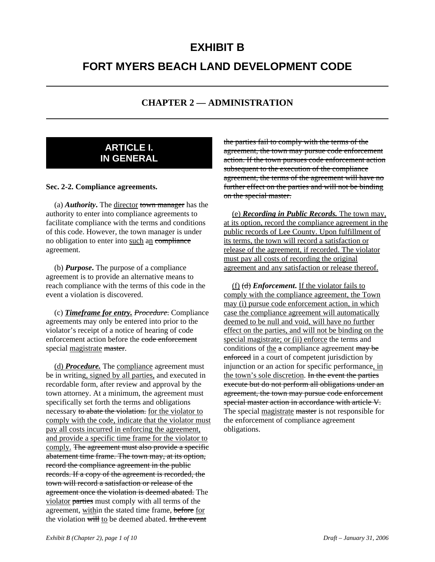# **EXHIBIT B FORT MYERS BEACH LAND DEVELOPMENT CODE**

# **CHAPTER 2 — ADMINISTRATION**

# **ARTICLE I. IN GENERAL**

#### **Sec. 2-2. Compliance agreements.**

(a) *Authority***.** The director town manager has the authority to enter into compliance agreements to facilitate compliance with the terms and conditions of this code. However, the town manager is under no obligation to enter into such an compliance agreement.

(b) *Purpose***.** The purpose of a compliance agreement is to provide an alternative means to reach compliance with the terms of this code in the event a violation is discovered.

(c) *Timeframe for entry. Procedure*. Compliance agreements may only be entered into prior to the violator's receipt of a notice of hearing of code enforcement action before the code enforcement special magistrate master.

(d) *Procedure.* The compliance agreement must be in writing, signed by all parties, and executed in recordable form, after review and approval by the town attorney. At a minimum, the agreement must specifically set forth the terms and obligations necessary to abate the violation. for the violator to comply with the code, indicate that the violator must pay all costs incurred in enforcing the agreement, and provide a specific time frame for the violator to comply. The agreement must also provide a specific abatement time frame. The town may, at its option, record the compliance agreement in the public records. If a copy of the agreement is recorded, the town will record a satisfaction or release of the agreement once the violation is deemed abated. The violator parties must comply with all terms of the agreement, within the stated time frame, before for the violation will to be deemed abated. In the event

the parties fail to comply with the terms of the agreement, the town may pursue code enforcement action. If the town pursues code enforcement action subsequent to the execution of the compliance agreement, the terms of the agreement will have no further effect on the parties and will not be binding on the special master.

(e) *Recording in Public Records.* The town may, at its option, record the compliance agreement in the public records of Lee County. Upon fulfillment of its terms, the town will record a satisfaction or release of the agreement, if recorded. The violator must pay all costs of recording the original agreement and any satisfaction or release thereof.

(f) (d) *Enforcement***.** If the violator fails to comply with the compliance agreement, the Town may (i) pursue code enforcement action, in which case the compliance agreement will automatically deemed to be null and void, will have no further effect on the parties, and will not be binding on the special magistrate; or (ii) enforce the terms and conditions of the a compliance agreement may be enforced in a court of competent jurisdiction by injunction or an action for specific performance, in the town's sole discretion. In the event the parties execute but do not perform all obligations under an agreement, the town may pursue code enforcement special master action in accordance with article V. The special magistrate master is not responsible for the enforcement of compliance agreement obligations.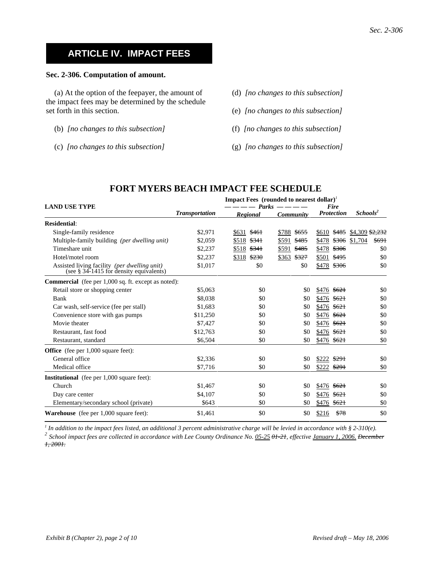# **ARTICLE IV. IMPACT FEES**

#### **Sec. 2-306. Computation of amount.**

(a) At the option of the feepayer, the amount of the impact fees may be determined by the schedule set forth in this section.

- (b) *[no changes to this subsection]*
- (c) *[no changes to this subsection]*
- (d) *[no changes to this subsection]*
- (e) *[no changes to this subsection]*
- (f) *[no changes to this subsection]*
- (g) *[no changes to this subsection]*

|                                                                                         | <b>Impact Fees</b> (rounded to nearest dollar) <sup><math>\prime</math></sup> |                   |                           |                           |                            |  |
|-----------------------------------------------------------------------------------------|-------------------------------------------------------------------------------|-------------------|---------------------------|---------------------------|----------------------------|--|
| <b>LAND USE TYPE</b>                                                                    | <b>Transportation</b>                                                         | Parks<br>Regional | Community                 | Fire<br><b>Protection</b> | Schools <sup>2</sup>       |  |
| <b>Residential:</b>                                                                     |                                                                               |                   |                           |                           |                            |  |
| Single-family residence                                                                 | \$2,971                                                                       | \$461<br>\$631    | \$788<br><del>\$655</del> | \$485<br>\$610            | \$4,309 <del>\$2,232</del> |  |
| Multiple-family building (per dwelling unit)                                            | \$2,059                                                                       | \$341<br>\$518    | \$591<br>\$485            | \$478<br>\$306            | \$1,704<br>\$691           |  |
| Timeshare unit                                                                          | \$2,237                                                                       | \$518<br>\$341    | \$591<br>\$485            | \$306<br>\$478            | \$0                        |  |
| Hotel/motel room                                                                        | \$2,237                                                                       | \$230<br>\$318    | \$363<br>\$327            | \$501<br>\$495            | \$0                        |  |
| Assisted living facility (per dwelling unit)<br>(see § 34-1415 for density equivalents) | \$1,017                                                                       | \$0               | \$0                       | \$478<br>\$306            | \$0                        |  |
| <b>Commercial</b> (fee per 1,000 sq. ft. except as noted):                              |                                                                               |                   |                           |                           |                            |  |
| Retail store or shopping center                                                         | \$5,063                                                                       | \$0               | \$0                       | \$476<br>\$621            | \$0                        |  |
| <b>Bank</b>                                                                             | \$8,038                                                                       | \$0               | \$0                       | \$476<br>\$621            | \$0                        |  |
| Car wash, self-service (fee per stall)                                                  | \$1,683                                                                       | \$0               | \$0                       | \$621<br>\$476            | \$0                        |  |
| Convenience store with gas pumps                                                        | \$11,250                                                                      | \$0               | \$0                       | \$476<br>\$621            | \$0                        |  |
| Movie theater                                                                           | \$7,427                                                                       | \$0               | \$0                       | \$476<br>\$621            | \$0                        |  |
| Restaurant, fast food                                                                   | \$12,763                                                                      | \$0               | \$0                       | \$621<br>\$476            | \$0                        |  |
| Restaurant, standard                                                                    | \$6,504                                                                       | \$0               | \$0                       | \$476<br>\$621            | \$0                        |  |
| <b>Office</b> (fee per 1,000 square feet):                                              |                                                                               |                   |                           |                           |                            |  |
| General office                                                                          | \$2,336                                                                       | \$0               | \$0                       | \$291<br>\$222            | \$0                        |  |
| Medical office                                                                          | \$7,716                                                                       | \$0               | \$0                       | \$222<br>\$291            | \$0                        |  |
| <b>Institutional</b> (fee per 1,000 square feet):                                       |                                                                               |                   |                           |                           |                            |  |
| Church                                                                                  | \$1,467                                                                       | \$0               | \$0                       | \$621<br>\$476            | \$0                        |  |
| Day care center                                                                         | \$4,107                                                                       | \$0               | \$0                       | \$476<br>\$621            | \$0                        |  |
| Elementary/secondary school (private)                                                   | \$643                                                                         | \$0               | \$0                       | \$476<br>\$621            | \$0                        |  |
| <b>Warehouse</b> (fee per $1,000$ square feet):                                         | \$1,461                                                                       | \$0               | \$0                       | \$216<br>\$78             | \$0                        |  |

# **FORT MYERS BEACH IMPACT FEE SCHEDULE**

*1 In addition to the impact fees listed, an additional 3 percent administrative charge will be levied in accordance with § 2-310(e).*

*<sup>2</sup> School impact fees are collected in accordance with Lee County Ordinance No. 05-25 01-21, effective January 1, 2006. December 1, 2001.*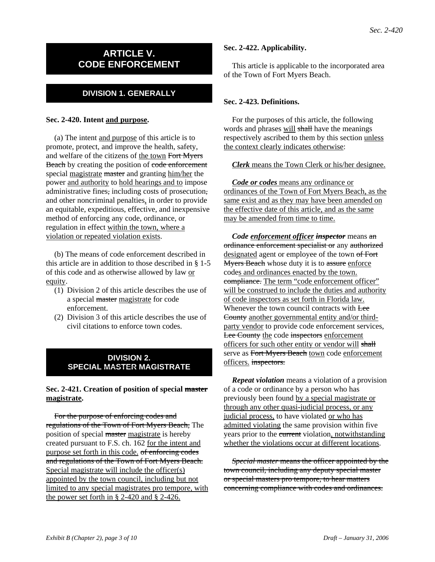# **ARTICLE V. CODE ENFORCEMENT**

# **DIVISION 1. GENERALLY**

#### **Sec. 2-420. Intent and purpose.**

(a) The intent and purpose of this article is to promote, protect, and improve the health, safety, and welfare of the citizens of the town Fort Myers Beach by creating the position of code enforcement special magistrate master and granting him/her the power and authority to hold hearings and to impose administrative fines, including costs of prosecution, and other noncriminal penalties, in order to provide an equitable, expeditious, effective, and inexpensive method of enforcing any code, ordinance, or regulation in effect within the town, where a violation or repeated violation exists.

(b) The means of code enforcement described in this article are in addition to those described in § 1-5 of this code and as otherwise allowed by law or equity.

- (1) Division 2 of this article describes the use of a special master magistrate for code enforcement.
- (2) Division 3 of this article describes the use of civil citations to enforce town codes.

#### **DIVISION 2. SPECIAL MASTER MAGISTRATE**

#### **Sec. 2-421. Creation of position of special master magistrate.**

For the purpose of enforcing codes and regulations of the Town of Fort Myers Beach, The position of special master magistrate is hereby created pursuant to F.S. ch. 162 for the intent and purpose set forth in this code. of enforcing codes and regulations of the Town of Fort Myers Beach. Special magistrate will include the officer(s) appointed by the town council, including but not limited to any special magistrates pro tempore, with the power set forth in § 2-420 and § 2-426.

#### **Sec. 2-422. Applicability.**

This article is applicable to the incorporated area of the Town of Fort Myers Beach.

### **Sec. 2-423. Definitions.**

For the purposes of this article, the following words and phrases will shall have the meanings respectively ascribed to them by this section unless the context clearly indicates otherwise:

#### *Clerk* means the Town Clerk or his/her designee.

*Code or codes* means any ordinance or ordinances of the Town of Fort Myers Beach, as the same exist and as they may have been amended on the effective date of this article, and as the same may be amended from time to time.

*Code enforcement officer inspector* means an ordinance enforcement specialist or any authorized designated agent or employee of the town of Fort Myers Beach whose duty it is to assure enforce codes and ordinances enacted by the town. compliance. The term "code enforcement officer" will be construed to include the duties and authority of code inspectors as set forth in Florida law. Whenever the town council contracts with **Lee** County another governmental entity and/or thirdparty vendor to provide code enforcement services, Lee County the code inspectors enforcement officers for such other entity or vendor will shall serve as Fort Myers Beach town code enforcement officers. inspectors.

*Repeat violation* means a violation of a provision of a code or ordinance by a person who has previously been found by a special magistrate or through any other quasi-judicial process, or any judicial process, to have violated or who has admitted violating the same provision within five years prior to the current violation, notwithstanding whether the violations occur at different locations.

*Special master* means the officer appointed by the town council, including any deputy special master or special masters pro tempore, to hear matters concerning compliance with codes and ordinances.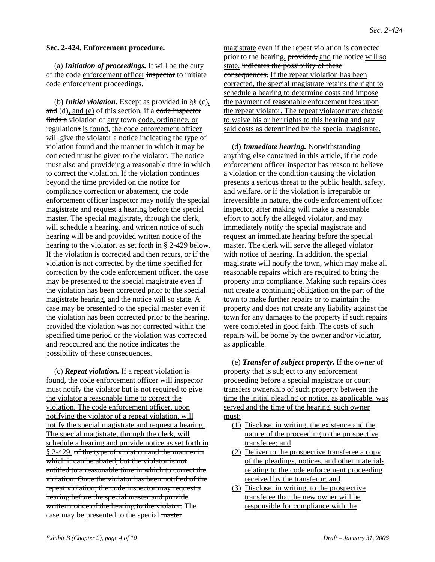#### **Sec. 2-424. Enforcement procedure.**

(a) *Initiation of proceedings.* It will be the duty of the code enforcement officer inspector to initiate code enforcement proceedings.

(b) *Initial violation.* Except as provided in §§ (c),  $\alpha$  and (d), and (e) of this section, if a code inspector finds a violation of any town code, ordinance, or regulations is found, the code enforcement officer will give the violator a notice indicating the type of violation found and the manner in which it may be corrected must be given to the violator. The notice must also and provideing a reasonable time in which to correct the violation. If the violation continues beyond the time provided on the notice for compliance correction or abatement, the code enforcement officer inspector may notify the special magistrate and request a hearing before the special master. The special magistrate, through the clerk, will schedule a hearing, and written notice of such hearing will be and provided written notice of the hearing to the violator: as set forth in § 2-429 below. If the violation is corrected and then recurs, or if the violation is not corrected by the time specified for correction by the code enforcement officer, the case may be presented to the special magistrate even if the violation has been corrected prior to the special magistrate hearing, and the notice will so state. A case may be presented to the special master even if the violation has been corrected prior to the hearing, provided the violation was not corrected within the specified time period or the violation was corrected and reoccurred and the notice indicates the possibility of these consequences.

(c) *Repeat violation.* If a repeat violation is found, the code enforcement officer will inspector must notify the violator but is not required to give the violator a reasonable time to correct the violation. The code enforcement officer, upon notifying the violator of a repeat violation, will notify the special magistrate and request a hearing. The special magistrate, through the clerk, will schedule a hearing and provide notice as set forth in § 2-429, of the type of violation and the manner in which it can be abated, but the violator is not entitled to a reasonable time in which to correct the violation. Once the violator has been notified of the repeat violation, the code inspector may request a hearing before the special master and provide written notice of the hearing to the violator. The case may be presented to the special master

magistrate even if the repeat violation is corrected prior to the hearing, provided, and the notice will so state. indicates the possibility of these consequences. If the repeat violation has been corrected, the special magistrate retains the right to schedule a hearing to determine costs and impose the payment of reasonable enforcement fees upon the repeat violator. The repeat violator may choose to waive his or her rights to this hearing and pay said costs as determined by the special magistrate.

(d) *Immediate hearing.* Notwithstanding anything else contained in this article, if the code enforcement officer inspector has reason to believe a violation or the condition causing the violation presents a serious threat to the public health, safety, and welfare, or if the violation is irreparable or irreversible in nature, the code enforcement officer inspector, after making will make a reasonable effort to notify the alleged violator, and may immediately notify the special magistrate and request an immediate hearing before the special master. The clerk will serve the alleged violator with notice of hearing. In addition, the special magistrate will notify the town, which may make all reasonable repairs which are required to bring the property into compliance. Making such repairs does not create a continuing obligation on the part of the town to make further repairs or to maintain the property and does not create any liability against the town for any damages to the property if such repairs were completed in good faith. The costs of such repairs will be borne by the owner and/or violator, as applicable.

(e) *Transfer of subject property.* If the owner of property that is subject to any enforcement proceeding before a special magistrate or court transfers ownership of such property between the time the initial pleading or notice, as applicable, was served and the time of the hearing, such owner must:

- (1) Disclose, in writing, the existence and the nature of the proceeding to the prospective transferee; and
- (2) Deliver to the prospective transferee a copy of the pleadings, notices, and other materials relating to the code enforcement proceeding received by the transferor; and
- (3) Disclose, in writing, to the prospective transferee that the new owner will be responsible for compliance with the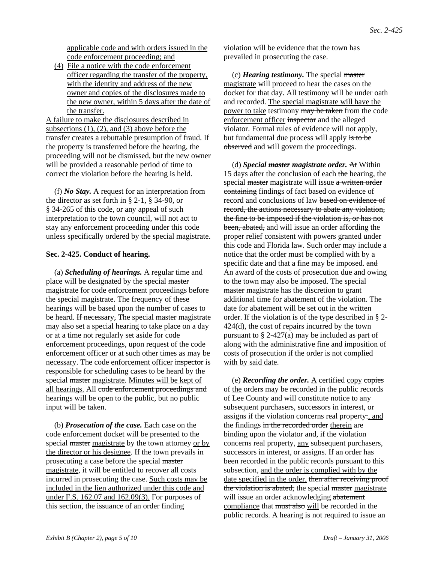applicable code and with orders issued in the code enforcement proceeding; and

(4) File a notice with the code enforcement officer regarding the transfer of the property, with the identity and address of the new owner and copies of the disclosures made to the new owner, within 5 days after the date of the transfer.

A failure to make the disclosures described in subsections  $(1)$ ,  $(2)$ , and  $(3)$  above before the transfer creates a rebuttable presumption of fraud. If the property is transferred before the hearing, the proceeding will not be dismissed, but the new owner will be provided a reasonable period of time to correct the violation before the hearing is held.

(f) *No Stay.* A request for an interpretation from the director as set forth in § 2-1, § 34-90, or § 34-265 of this code, or any appeal of such interpretation to the town council, will not act to stay any enforcement proceeding under this code unless specifically ordered by the special magistrate.

#### **Sec. 2-425. Conduct of hearing.**

(a) *Scheduling of hearings.* A regular time and place will be designated by the special master magistrate for code enforcement proceedings before the special magistrate. The frequency of these hearings will be based upon the number of cases to be heard. If necessary, The special master magistrate may also set a special hearing to take place on a day or at a time not regularly set aside for code enforcement proceedings, upon request of the code enforcement officer or at such other times as may be necessary. The code enforcement officer inspector is responsible for scheduling cases to be heard by the special master magistrate. Minutes will be kept of all hearings. All code enforcement proceedings and hearings will be open to the public, but no public input will be taken.

(b) *Prosecution of the case.* Each case on the code enforcement docket will be presented to the special master magistrate by the town attorney or by the director or his designee. If the town prevails in prosecuting a case before the special master magistrate, it will be entitled to recover all costs incurred in prosecuting the case. Such costs may be included in the lien authorized under this code and under F.S. 162.07 and 162.09(3). For purposes of this section, the issuance of an order finding

violation will be evidence that the town has prevailed in prosecuting the case.

(c) *Hearing testimony.* The special master magistrate will proceed to hear the cases on the docket for that day. All testimony will be under oath and recorded. The special magistrate will have the power to take testimony may be taken from the code enforcement officer inspector and the alleged violator. Formal rules of evidence will not apply, but fundamental due process will apply is to be observed and will govern the proceedings.

(d) *Special master magistrate order.* At Within 15 days after the conclusion of each the hearing, the special master magistrate will issue a written order containing findings of fact based on evidence of record and conclusions of law based on evidence of record, the actions necessary to abate any violation, the fine to be imposed if the violation is, or has not been, abated, and will issue an order affording the proper relief consistent with powers granted under this code and Florida law. Such order may include a notice that the order must be complied with by a specific date and that a fine may be imposed. and An award of the costs of prosecution due and owing to the town may also be imposed. The special master magistrate has the discretion to grant additional time for abatement of the violation. The date for abatement will be set out in the written order. If the violation is of the type described in § 2- 424(d), the cost of repairs incurred by the town pursuant to  $\S 2-427(a)$  may be included as part of along with the administrative fine and imposition of costs of prosecution if the order is not complied with by said date.

(e) *Recording the order.*  $\underline{A}$  certified copy copies of the orders may be recorded in the public records of Lee County and will constitute notice to any subsequent purchasers, successors in interest, or assigns if the violation concerns real property., and the findings in the recorded order therein are binding upon the violator and, if the violation concerns real property, any subsequent purchasers, successors in interest, or assigns. If an order has been recorded in the public records pursuant to this subsection, and the order is complied with by the date specified in the order, then after receiving proof the violation is abated, the special master magistrate will issue an order acknowledging abatement compliance that must also will be recorded in the public records. A hearing is not required to issue an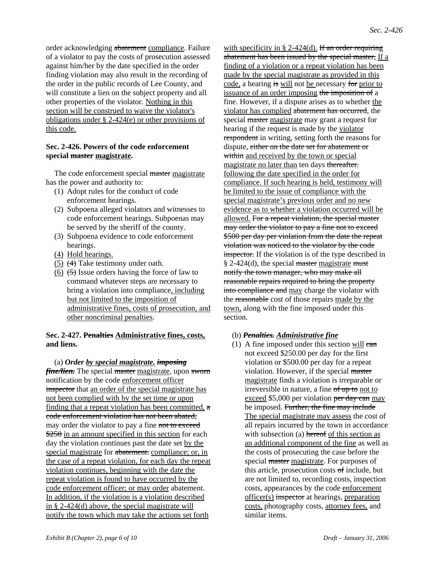order acknowledging abatement compliance. Failure of a violator to pay the costs of prosecution assessed against him/her by the date specified in the order finding violation may also result in the recording of the order in the public records of Lee County, and will constitute a lien on the subject property and all other properties of the violator. Nothing in this section will be construed to waive the violator's obligations under § 2-424(e) or other provisions of this code.

#### **Sec. 2-426. Powers of the code enforcement special master magistrate.**

The code enforcement special master magistrate has the power and authority to:

- (1) Adopt rules for the conduct of code enforcement hearings.
- (2) Subpoena alleged violators and witnesses to code enforcement hearings. Subpoenas may be served by the sheriff of the county.
- (3) Subpoena evidence to code enforcement hearings.
- (4) Hold hearings.
- (5)  $(4)$  Take testimony under oath.
- (6)  $(5)$  Issue orders having the force of law to command whatever steps are necessary to bring a violation into compliance, including but not limited to the imposition of administrative fines, costs of prosecution, and other noncriminal penalties.

#### **Sec. 2-427. Penalties Administrative fines, costs, and liens.**

#### (a) *Order by special magistrate. imposing*

*fine/lien.* The special master magistrate, upon sworn notification by the code enforcement officer inspector that an order of the special magistrate has not been complied with by the set time or upon finding that a repeat violation has been committed,  $\alpha$ code enforcement violation has not been abated, may order the violator to pay a fine not to exceed  $\frac{$250}{9}$  in an amount specified in this section for each day the violation continues past the date set by the special magistrate for abatement. compliance; or, in the case of a repeat violation, for each day the repeat violation continues, beginning with the date the repeat violation is found to have occurred by the code enforcement officer; or may order abatement. In addition, if the violation is a violation described in § 2-424(d) above, the special magistrate will notify the town which may take the actions set forth

with specificity in § 2-424(d). If an order requiring abatement has been issued by the special master, If a finding of a violation or a repeat violation has been made by the special magistrate as provided in this code, a hearing is will not be necessary for prior to issuance of an order imposing the imposition of a fine. However, if a dispute arises as to whether the violator has complied abatement has occurred, the special master magistrate may grant a request for hearing if the request is made by the violator respondent in writing, setting forth the reasons for dispute, either on the date set for abatement or within and received by the town or special magistrate no later than ten days thereafter. following the date specified in the order for compliance. If such hearing is held, testimony will be limited to the issue of compliance with the special magistrate's previous order and no new evidence as to whether a violation occurred will be allowed. For a repeat violation, the special master may order the violator to pay a fine not to exceed \$500 per day per violation from the date the repeat violation was noticed to the violator by the code inspector. If the violation is of the type described in  $§$  2-424(d), the special master magistrate must notify the town manager, who may make all reasonable repairs required to bring the property into compliance and may charge the violator with the reasonable cost of those repairs made by the town, along with the fine imposed under this section.

#### (b) *Penalties. Administrative fine*

(1) A fine imposed under this section will  $can$ not exceed \$250.00 per day for the first violation or \$500.00 per day for a repeat violation. However, if the special master magistrate finds a violation is irreparable or irreversible in nature, a fine of up to not to exceed \$5,000 per violation per day can may be imposed. Further, the fine may include The special magistrate may assess the cost of all repairs incurred by the town in accordance with subsection (a) hereof of this section as an additional component of the fine as well as the costs of prosecuting the case before the special master magistrate. For purposes of this article, prosecution costs of include, but are not limited to, recording costs, inspection costs, appearances by the code enforcement officer(s) inspector at hearings, preparation costs, photography costs, attorney fees, and similar items.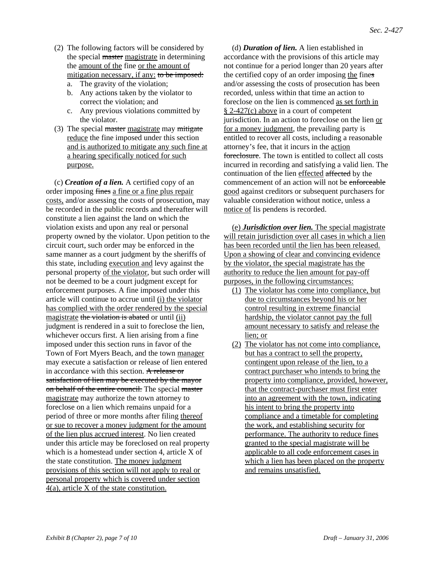- (2) The following factors will be considered by the special master magistrate in determining the amount of the fine or the amount of mitigation necessary, if any: to be imposed:
	- a. The gravity of the violation;
	- b. Any actions taken by the violator to correct the violation; and
	- c. Any previous violations committed by the violator.
- (3) The special master magistrate may mitigate reduce the fine imposed under this section and is authorized to mitigate any such fine at a hearing specifically noticed for such purpose.

(c) *Creation of a lien.* A certified copy of an order imposing fines a fine or a fine plus repair costs, and/or assessing the costs of prosecution, may be recorded in the public records and thereafter will constitute a lien against the land on which the violation exists and upon any real or personal property owned by the violator. Upon petition to the circuit court, such order may be enforced in the same manner as a court judgment by the sheriffs of this state, including execution and levy against the personal property of the violator, but such order will not be deemed to be a court judgment except for enforcement purposes. A fine imposed under this article will continue to accrue until (i) the violator has complied with the order rendered by the special magistrate the violation is abated or until (ii) judgment is rendered in a suit to foreclose the lien, whichever occurs first. A lien arising from a fine imposed under this section runs in favor of the Town of Fort Myers Beach, and the town manager may execute a satisfaction or release of lien entered in accordance with this section. A release or satisfaction of lien may be executed by the mayor on behalf of the entire council. The special master magistrate may authorize the town attorney to foreclose on a lien which remains unpaid for a period of three or more months after filing thereof or sue to recover a money judgment for the amount of the lien plus accrued interest. No lien created under this article may be foreclosed on real property which is a homestead under section 4, article X of the state constitution. The money judgment provisions of this section will not apply to real or personal property which is covered under section 4(a), article X of the state constitution.

(d) *Duration of lien.* A lien established in accordance with the provisions of this article may not continue for a period longer than 20 years after the certified copy of an order imposing the fines and/or assessing the costs of prosecution has been recorded, unless within that time an action to foreclose on the lien is commenced as set forth in § 2-427(c) above in a court of competent jurisdiction. In an action to foreclose on the lien or for a money judgment, the prevailing party is entitled to recover all costs, including a reasonable attorney's fee, that it incurs in the action foreclosure. The town is entitled to collect all costs incurred in recording and satisfying a valid lien. The continuation of the lien effected affected by the commencement of an action will not be enforceable good against creditors or subsequent purchasers for valuable consideration without notice, unless a notice of lis pendens is recorded.

(e) *Jurisdiction over lien.* The special magistrate will retain jurisdiction over all cases in which a lien has been recorded until the lien has been released. Upon a showing of clear and convincing evidence by the violator, the special magistrate has the authority to reduce the lien amount for pay-off purposes, in the following circumstances:

- (1) The violator has come into compliance, but due to circumstances beyond his or her control resulting in extreme financial hardship, the violator cannot pay the full amount necessary to satisfy and release the lien; or
- (2) The violator has not come into compliance, but has a contract to sell the property, contingent upon release of the lien, to a contract purchaser who intends to bring the property into compliance, provided, however, that the contract-purchaser must first enter into an agreement with the town, indicating his intent to bring the property into compliance and a timetable for completing the work, and establishing security for performance. The authority to reduce fines granted to the special magistrate will be applicable to all code enforcement cases in which a lien has been placed on the property and remains unsatisfied.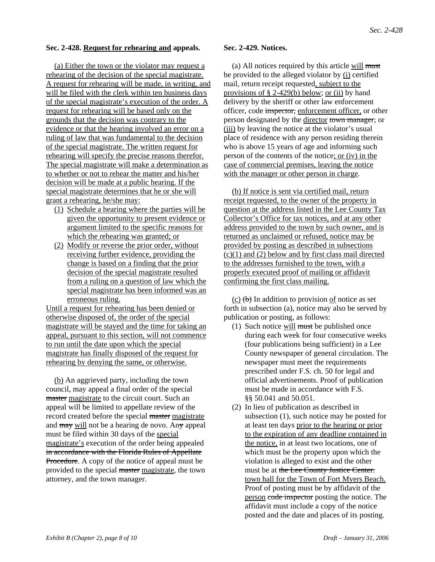#### **Sec. 2-428. Request for rehearing and appeals.**

(a) Either the town or the violator may request a rehearing of the decision of the special magistrate. A request for rehearing will be made, in writing, and will be filed with the clerk within ten business days of the special magistrate's execution of the order. A request for rehearing will be based only on the grounds that the decision was contrary to the evidence or that the hearing involved an error on a ruling of law that was fundamental to the decision of the special magistrate. The written request for rehearing will specify the precise reasons therefor. The special magistrate will make a determination as to whether or not to rehear the matter and his/her decision will be made at a public hearing. If the special magistrate determines that he or she will grant a rehearing, he/she may:

- (1) Schedule a hearing where the parties will be given the opportunity to present evidence or argument limited to the specific reasons for which the rehearing was granted; or
- (2) Modify or reverse the prior order, without receiving further evidence, providing the change is based on a finding that the prior decision of the special magistrate resulted from a ruling on a question of law which the special magistrate has been informed was an erroneous ruling.

Until a request for rehearing has been denied or otherwise disposed of, the order of the special magistrate will be stayed and the time for taking an appeal, pursuant to this section, will not commence to run until the date upon which the special magistrate has finally disposed of the request for rehearing by denying the same, or otherwise.

(b) An aggrieved party, including the town council, may appeal a final order of the special master magistrate to the circuit court. Such an appeal will be limited to appellate review of the record created before the special master magistrate and  $\frac{may}{m}$  will not be a hearing de novo. Any appeal must be filed within 30 days of the special magistrate's execution of the order being appealed in accordance with the Florida Rules of Appellate Procedure. A copy of the notice of appeal must be provided to the special master magistrate, the town attorney, and the town manager.

#### **Sec. 2-429. Notices.**

(a) All notices required by this article will must be provided to the alleged violator by (i) certified mail, return receipt requested, subject to the provisions of  $\S$  2-429(b) below; or (ii) by hand delivery by the sheriff or other law enforcement officer, code inspector, enforcement officer, or other person designated by the director town manager; or (iii) by leaving the notice at the violator's usual place of residence with any person residing therein who is above 15 years of age and informing such person of the contents of the notice; or (iv) in the case of commercial premises, leaving the notice with the manager or other person in charge.

(b) If notice is sent via certified mail, return receipt requested, to the owner of the property in question at the address listed in the Lee County Tax Collector's Office for tax notices, and at any other address provided to the town by such owner, and is returned as unclaimed or refused, notice may be provided by posting as described in subsections  $(c)(1)$  and  $(2)$  below and by first class mail directed to the addresses furnished to the town, with a properly executed proof of mailing or affidavit confirming the first class mailing.

(c)  $(b)$  In addition to provision of notice as set forth in subsection (a), notice may also be served by publication or posting, as follows:

- (1) Such notice will must be published once during each week for four consecutive weeks (four publications being sufficient) in a Lee County newspaper of general circulation. The newspaper must meet the requirements prescribed under F.S. ch. 50 for legal and official advertisements. Proof of publication must be made in accordance with F.S. §§ 50.041 and 50.051.
- (2) In lieu of publication as described in subsection (1), such notice may be posted for at least ten days prior to the hearing or prior to the expiration of any deadline contained in the notice, in at least two locations, one of which must be the property upon which the violation is alleged to exist and the other must be at the Lee County Justice Center. town hall for the Town of Fort Myers Beach. Proof of posting must be by affidavit of the person code inspector posting the notice. The affidavit must include a copy of the notice posted and the date and places of its posting.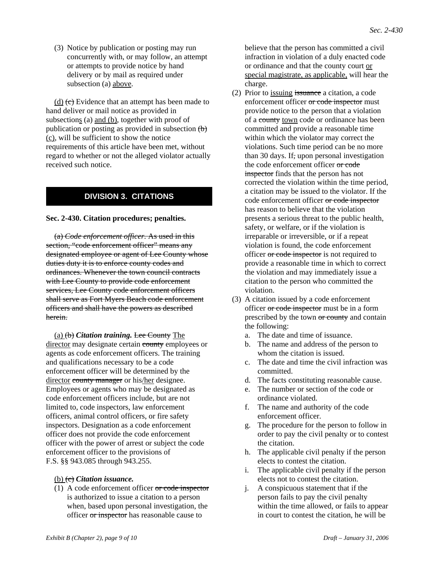(3) Notice by publication or posting may run concurrently with, or may follow, an attempt or attempts to provide notice by hand delivery or by mail as required under subsection (a) above.

 $(d)$  (c) Evidence that an attempt has been made to hand deliver or mail notice as provided in subsections (a) and (b), together with proof of publication or posting as provided in subsection  $\left(\mathbf{b}\right)$ (c), will be sufficient to show the notice requirements of this article have been met, without regard to whether or not the alleged violator actually received such notice.

# **DIVISION 3. CITATIONS**

**Sec. 2-430. Citation procedures; penalties.**

(a) *Code enforcement officer.* As used in this section, "code enforcement officer" means any designated employee or agent of Lee County whose duties duty it is to enforce county codes and ordinances. Whenever the town council contracts with Lee County to provide code enforcement services, Lee County code enforcement officers shall serve as Fort Myers Beach code enforcement officers and shall have the powers as described herein.

(a) (b) *Citation training.* Lee County The director may designate certain county employees or agents as code enforcement officers. The training and qualifications necessary to be a code enforcement officer will be determined by the director county manager or his/her designee. Employees or agents who may be designated as code enforcement officers include, but are not limited to, code inspectors, law enforcement officers, animal control officers, or fire safety inspectors. Designation as a code enforcement officer does not provide the code enforcement officer with the power of arrest or subject the code enforcement officer to the provisions of F.S. §§ 943.085 through 943.255.

# (b) (c) *Citation issuance.*

(1) A code enforcement officer  $\sigma$  code inspector is authorized to issue a citation to a person when, based upon personal investigation, the officer or inspector has reasonable cause to

believe that the person has committed a civil infraction in violation of a duly enacted code or ordinance and that the county court or special magistrate, as applicable, will hear the charge.

- (2) Prior to issuing issuance a citation, a code enforcement officer or code inspector must provide notice to the person that a violation of a county town code or ordinance has been committed and provide a reasonable time within which the violator may correct the violations. Such time period can be no more than 30 days. If, upon personal investigation the code enforcement officer or code inspector finds that the person has not corrected the violation within the time period, a citation may be issued to the violator. If the code enforcement officer or code inspector has reason to believe that the violation presents a serious threat to the public health, safety, or welfare, or if the violation is irreparable or irreversible, or if a repeat violation is found, the code enforcement officer or code inspector is not required to provide a reasonable time in which to correct the violation and may immediately issue a citation to the person who committed the violation.
- (3) A citation issued by a code enforcement officer or code inspector must be in a form prescribed by the town or county and contain the following:
	- a. The date and time of issuance.
	- b. The name and address of the person to whom the citation is issued.
	- c. The date and time the civil infraction was committed.
	- d. The facts constituting reasonable cause.
	- e. The number or section of the code or ordinance violated.
	- f. The name and authority of the code enforcement officer.
	- g. The procedure for the person to follow in order to pay the civil penalty or to contest the citation.
	- h. The applicable civil penalty if the person elects to contest the citation.
	- i. The applicable civil penalty if the person elects not to contest the citation.
	- j. A conspicuous statement that if the person fails to pay the civil penalty within the time allowed, or fails to appear in court to contest the citation, he will be